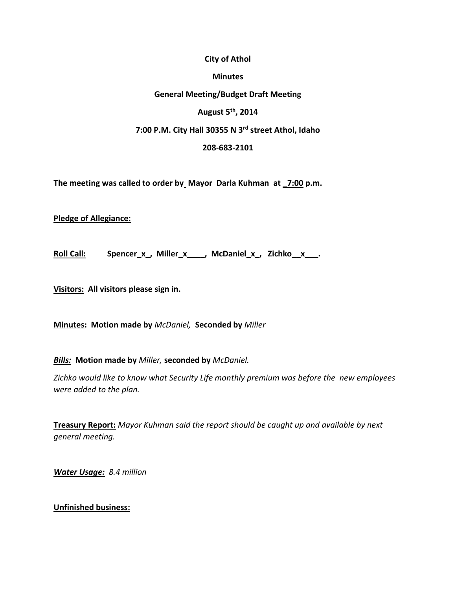#### **City of Athol**

#### **Minutes**

## **General Meeting/Budget Draft Meeting**

## **August 5th, 2014**

# **7:00 P.M. City Hall 30355 N 3rd street Athol, Idaho**

#### **208-683-2101**

**The meeting was called to order by Mayor Darla Kuhman at \_7:00 p.m.**

**Pledge of Allegiance:** 

**Roll Call: Spencer\_x\_, Miller\_x\_\_\_\_, McDaniel\_x\_, Zichko\_\_x\_\_\_.**

**Visitors: All visitors please sign in.**

**Minutes: Motion made by** *McDaniel,* **Seconded by** *Miller*

*Bills:* **Motion made by** *Miller,* **seconded by** *McDaniel.*

*Zichko would like to know what Security Life monthly premium was before the new employees were added to the plan.*

**Treasury Report:** *Mayor Kuhman said the report should be caught up and available by next general meeting.*

*Water Usage: 8.4 million*

### **Unfinished business:**